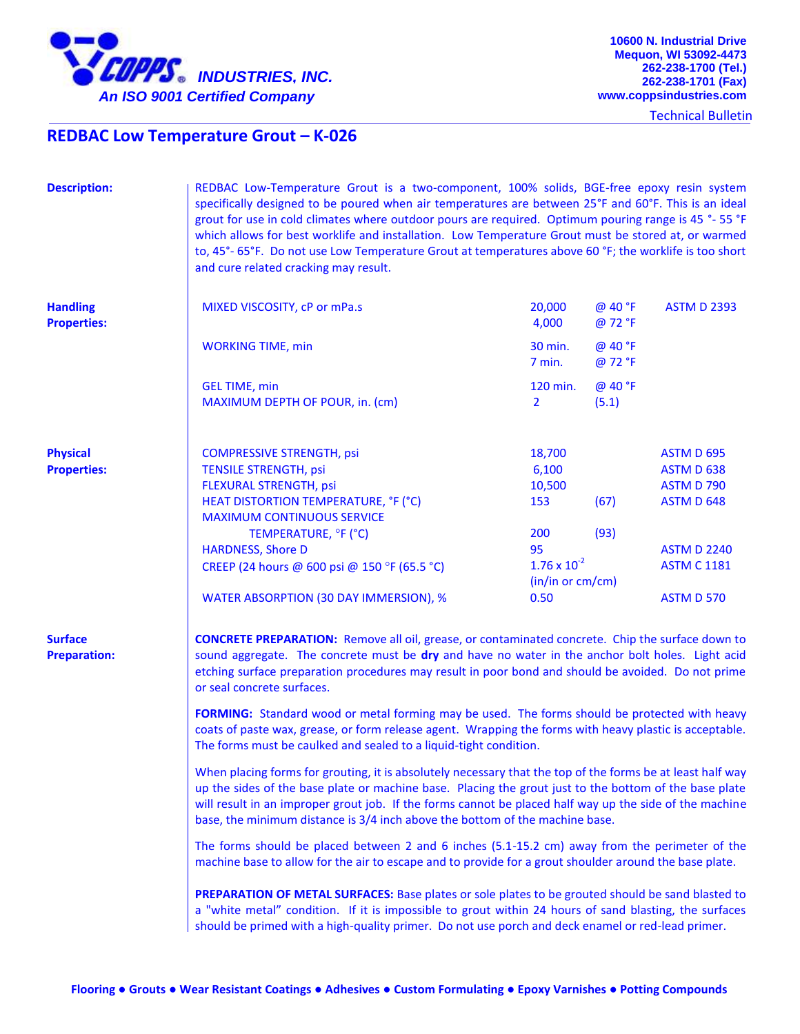

Technical Bulletin

## **REDBAC Low Temperature Grout – K-026**

| <b>Description:</b>                   | REDBAC Low-Temperature Grout is a two-component, 100% solids, BGE-free epoxy resin system<br>specifically designed to be poured when air temperatures are between 25°F and 60°F. This is an ideal<br>grout for use in cold climates where outdoor pours are required. Optimum pouring range is 45 °- 55 °F<br>which allows for best worklife and installation. Low Temperature Grout must be stored at, or warmed<br>to, 45°-65°F. Do not use Low Temperature Grout at temperatures above 60 °F; the worklife is too short<br>and cure related cracking may result. |                                                                |                    |                                                                    |  |
|---------------------------------------|---------------------------------------------------------------------------------------------------------------------------------------------------------------------------------------------------------------------------------------------------------------------------------------------------------------------------------------------------------------------------------------------------------------------------------------------------------------------------------------------------------------------------------------------------------------------|----------------------------------------------------------------|--------------------|--------------------------------------------------------------------|--|
| <b>Handling</b><br><b>Properties:</b> | MIXED VISCOSITY, cP or mPa.s                                                                                                                                                                                                                                                                                                                                                                                                                                                                                                                                        | 20,000<br>4,000                                                | @ 40 °F<br>@ 72 °F | <b>ASTM D 2393</b>                                                 |  |
|                                       | <b>WORKING TIME, min</b>                                                                                                                                                                                                                                                                                                                                                                                                                                                                                                                                            | 30 min.<br>$7$ min.                                            | @ 40 °F<br>@ 72 °F |                                                                    |  |
|                                       | <b>GEL TIME, min</b><br>MAXIMUM DEPTH OF POUR, in. (cm)                                                                                                                                                                                                                                                                                                                                                                                                                                                                                                             | 120 min.<br>$\mathbf{2}$                                       | @ 40 °F<br>(5.1)   |                                                                    |  |
| <b>Physical</b><br><b>Properties:</b> | <b>COMPRESSIVE STRENGTH, psi</b><br><b>TENSILE STRENGTH, psi</b><br>FLEXURAL STRENGTH, psi<br>HEAT DISTORTION TEMPERATURE, °F (°C)                                                                                                                                                                                                                                                                                                                                                                                                                                  | 18,700<br>6,100<br>10,500<br>153                               | (67)               | <b>ASTM D 695</b><br>ASTM D 638<br><b>ASTM D 790</b><br>ASTM D 648 |  |
|                                       | <b>MAXIMUM CONTINUOUS SERVICE</b><br>TEMPERATURE, °F (°C)<br><b>HARDNESS, Shore D</b><br>CREEP (24 hours @ 600 psi @ 150 °F (65.5 °C)<br>WATER ABSORPTION (30 DAY IMMERSION), %                                                                                                                                                                                                                                                                                                                                                                                     | 200<br>95<br>$1.76 \times 10^{-2}$<br>(in/in or cm/cm)<br>0.50 | (93)               | <b>ASTM D 2240</b><br><b>ASTM C 1181</b><br><b>ASTM D 570</b>      |  |
| <b>Surface</b><br><b>Preparation:</b> | <b>CONCRETE PREPARATION:</b> Remove all oil, grease, or contaminated concrete. Chip the surface down to<br>sound aggregate. The concrete must be dry and have no water in the anchor bolt holes. Light acid<br>etching surface preparation procedures may result in poor bond and should be avoided. Do not prime<br>or seal concrete surfaces.                                                                                                                                                                                                                     |                                                                |                    |                                                                    |  |
|                                       | FORMING: Standard wood or metal forming may be used. The forms should be protected with heavy<br>coats of paste wax, grease, or form release agent. Wrapping the forms with heavy plastic is acceptable.<br>The forms must be caulked and sealed to a liquid-tight condition.                                                                                                                                                                                                                                                                                       |                                                                |                    |                                                                    |  |
|                                       | When placing forms for grouting, it is absolutely necessary that the top of the forms be at least half way<br>up the sides of the base plate or machine base. Placing the grout just to the bottom of the base plate<br>will result in an improper grout job. If the forms cannot be placed half way up the side of the machine<br>base, the minimum distance is 3/4 inch above the bottom of the machine base.                                                                                                                                                     |                                                                |                    |                                                                    |  |
|                                       | The forms should be placed between 2 and 6 inches (5.1-15.2 cm) away from the perimeter of the<br>machine base to allow for the air to escape and to provide for a grout shoulder around the base plate.                                                                                                                                                                                                                                                                                                                                                            |                                                                |                    |                                                                    |  |
|                                       | PREPARATION OF METAL SURFACES: Base plates or sole plates to be grouted should be sand blasted to<br>a "white metal" condition. If it is impossible to grout within 24 hours of sand blasting, the surfaces<br>should be primed with a high-quality primer. Do not use porch and deck enamel or red-lead primer.                                                                                                                                                                                                                                                    |                                                                |                    |                                                                    |  |